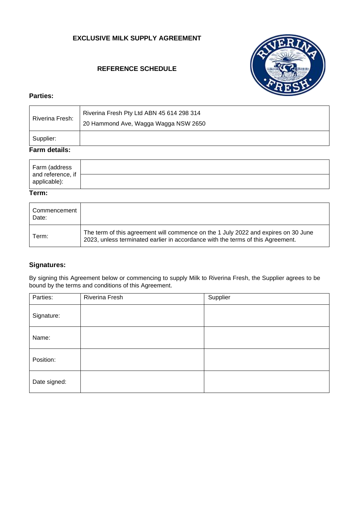# **EXCLUSIVE MILK SUPPLY AGREEMENT**

# **REFERENCE SCHEDULE**



### **Parties:**

| Riverina Fresh: | Riverina Fresh Pty Ltd ABN 45 614 298 314<br>20 Hammond Ave, Wagga Wagga NSW 2650 |
|-----------------|-----------------------------------------------------------------------------------|
| Supplier:       |                                                                                   |

# **Farm details:**

| Farm (address                     |  |
|-----------------------------------|--|
| and reference, if<br>applicable): |  |

#### **Term:**

| Commencement<br>Date: |                                                                                                                                                                       |
|-----------------------|-----------------------------------------------------------------------------------------------------------------------------------------------------------------------|
| Term:                 | The term of this agreement will commence on the 1 July 2022 and expires on 30 June<br>2023, unless terminated earlier in accordance with the terms of this Agreement. |

# **Signatures:**

By signing this Agreement below or commencing to supply Milk to Riverina Fresh, the Supplier agrees to be bound by the terms and conditions of this Agreement.

| Parties:     | Riverina Fresh | Supplier |
|--------------|----------------|----------|
| Signature:   |                |          |
| Name:        |                |          |
| Position:    |                |          |
| Date signed: |                |          |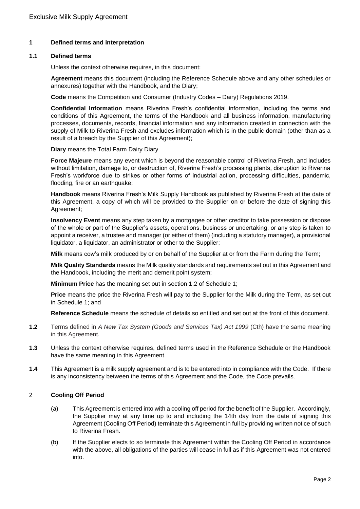### **1 Defined terms and interpretation**

### **1.1 Defined terms**

Unless the context otherwise requires, in this document:

**Agreement** means this document (including the Reference Schedule above and any other schedules or annexures) together with the Handbook, and the Diary;

**Code** means the Competition and Consumer (Industry Codes – Dairy) Regulations 2019.

**Confidential Information** means Riverina Fresh's confidential information, including the terms and conditions of this Agreement, the terms of the Handbook and all business information, manufacturing processes, documents, records, financial information and any information created in connection with the supply of Milk to Riverina Fresh and excludes information which is in the public domain (other than as a result of a breach by the Supplier of this Agreement);

**Diary** means the Total Farm Dairy Diary.

**Force Majeure** means any event which is beyond the reasonable control of Riverina Fresh, and includes without limitation, damage to, or destruction of, Riverina Fresh's processing plants, disruption to Riverina Fresh's workforce due to strikes or other forms of industrial action, processing difficulties, pandemic, flooding, fire or an earthquake:

**Handbook** means Riverina Fresh's Milk Supply Handbook as published by Riverina Fresh at the date of this Agreement, a copy of which will be provided to the Supplier on or before the date of signing this Agreement;

**Insolvency Event** means any step taken by a mortgagee or other creditor to take possession or dispose of the whole or part of the Supplier's assets, operations, business or undertaking, or any step is taken to appoint a receiver, a trustee and manager (or either of them) (including a statutory manager), a provisional liquidator, a liquidator, an administrator or other to the Supplier;

**Milk** means cow's milk produced by or on behalf of the Supplier at or from the Farm during the Term;

**Milk Quality Standards** means the Milk quality standards and requirements set out in this Agreement and the Handbook, including the merit and demerit point system;

**Minimum Price** has the meaning set out in section 1.2 of Schedule 1;

**Price** means the price the Riverina Fresh will pay to the Supplier for the Milk during the Term, as set out in Schedule 1; and

**Reference Schedule** means the schedule of details so entitled and set out at the front of this document.

- **1.2** Terms defined in *A New Tax System (Goods and Services Tax) Act 1999* (Cth) have the same meaning in this Agreement.
- **1.3** Unless the context otherwise requires, defined terms used in the Reference Schedule or the Handbook have the same meaning in this Agreement.
- **1.4** This Agreement is a milk supply agreement and is to be entered into in compliance with the Code. If there is any inconsistency between the terms of this Agreement and the Code, the Code prevails.

### 2 **Cooling Off Period**

- (a) This Agreement is entered into with a cooling off period for the benefit of the Supplier. Accordingly, the Supplier may at any time up to and including the 14th day from the date of signing this Agreement (Cooling Off Period) terminate this Agreement in full by providing written notice of such to Riverina Fresh.
- (b) If the Supplier elects to so terminate this Agreement within the Cooling Off Period in accordance with the above, all obligations of the parties will cease in full as if this Agreement was not entered into.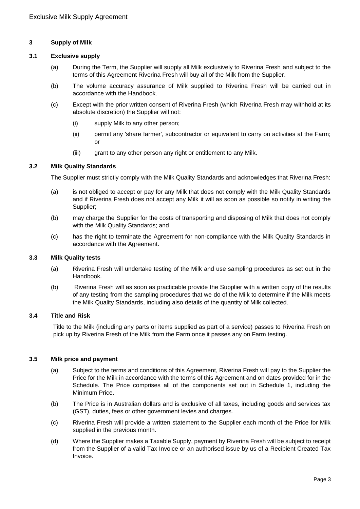### **3 Supply of Milk**

## **3.1 Exclusive supply**

- (a) During the Term, the Supplier will supply all Milk exclusively to Riverina Fresh and subject to the terms of this Agreement Riverina Fresh will buy all of the Milk from the Supplier.
- (b) The volume accuracy assurance of Milk supplied to Riverina Fresh will be carried out in accordance with the Handbook.
- (c) Except with the prior written consent of Riverina Fresh (which Riverina Fresh may withhold at its absolute discretion) the Supplier will not:
	- (i) supply Milk to any other person;
	- (ii) permit any 'share farmer', subcontractor or equivalent to carry on activities at the Farm; or
	- (iii) grant to any other person any right or entitlement to any Milk.

### **3.2 Milk Quality Standards**

The Supplier must strictly comply with the Milk Quality Standards and acknowledges that Riverina Fresh:

- (a) is not obliged to accept or pay for any Milk that does not comply with the Milk Quality Standards and if Riverina Fresh does not accept any Milk it will as soon as possible so notify in writing the Supplier;
- (b) may charge the Supplier for the costs of transporting and disposing of Milk that does not comply with the Milk Quality Standards; and
- (c) has the right to terminate the Agreement for non-compliance with the Milk Quality Standards in accordance with the Agreement.

### **3.3 Milk Quality tests**

- (a) Riverina Fresh will undertake testing of the Milk and use sampling procedures as set out in the Handbook.
- (b) Riverina Fresh will as soon as practicable provide the Supplier with a written copy of the results of any testing from the sampling procedures that we do of the Milk to determine if the Milk meets the Milk Quality Standards, including also details of the quantity of Milk collected.

### **3.4 Title and Risk**

Title to the Milk (including any parts or items supplied as part of a service) passes to Riverina Fresh on pick up by Riverina Fresh of the Milk from the Farm once it passes any on Farm testing.

#### **3.5 Milk price and payment**

- (a) Subject to the terms and conditions of this Agreement, Riverina Fresh will pay to the Supplier the Price for the Milk in accordance with the terms of this Agreement and on dates provided for in the Schedule. The Price comprises all of the components set out in Schedule 1, including the Minimum Price.
- (b) The Price is in Australian dollars and is exclusive of all taxes, including goods and services tax (GST), duties, fees or other government levies and charges.
- (c) Riverina Fresh will provide a written statement to the Supplier each month of the Price for Milk supplied in the previous month.
- (d) Where the Supplier makes a Taxable Supply, payment by Riverina Fresh will be subject to receipt from the Supplier of a valid Tax Invoice or an authorised issue by us of a Recipient Created Tax Invoice.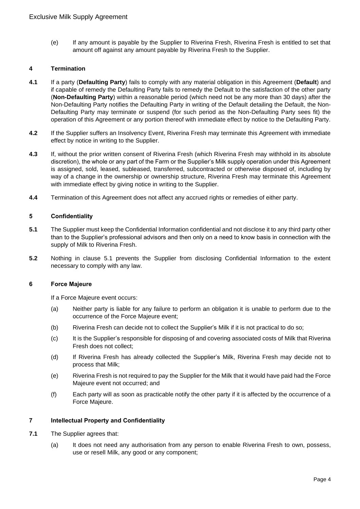(e) If any amount is payable by the Supplier to Riverina Fresh, Riverina Fresh is entitled to set that amount off against any amount payable by Riverina Fresh to the Supplier.

### **4 Termination**

- **4.1** If a party (**Defaulting Party**) fails to comply with any material obligation in this Agreement (**Default**) and if capable of remedy the Defaulting Party fails to remedy the Default to the satisfaction of the other party (**Non-Defaulting Party**) within a reasonable period (which need not be any more than 30 days) after the Non-Defaulting Party notifies the Defaulting Party in writing of the Default detailing the Default, the Non-Defaulting Party may terminate or suspend (for such period as the Non-Defaulting Party sees fit) the operation of this Agreement or any portion thereof with immediate effect by notice to the Defaulting Party.
- **4.2** If the Supplier suffers an Insolvency Event, Riverina Fresh may terminate this Agreement with immediate effect by notice in writing to the Supplier.
- **4.3** If, without the prior written consent of Riverina Fresh (which Riverina Fresh may withhold in its absolute discretion), the whole or any part of the Farm or the Supplier's Milk supply operation under this Agreement is assigned, sold, leased, subleased, transferred, subcontracted or otherwise disposed of, including by way of a change in the ownership or ownership structure, Riverina Fresh may terminate this Agreement with immediate effect by giving notice in writing to the Supplier.
- **4.4** Termination of this Agreement does not affect any accrued rights or remedies of either party.

### **5 Confidentiality**

- **5.1** The Supplier must keep the Confidential Information confidential and not disclose it to any third party other than to the Supplier's professional advisors and then only on a need to know basis in connection with the supply of Milk to Riverina Fresh.
- **5.2** Nothing in clause 5.1 prevents the Supplier from disclosing Confidential Information to the extent necessary to comply with any law.

#### **6 Force Majeure**

If a Force Majeure event occurs:

- (a) Neither party is liable for any failure to perform an obligation it is unable to perform due to the occurrence of the Force Majeure event;
- (b) Riverina Fresh can decide not to collect the Supplier's Milk if it is not practical to do so;
- (c) It is the Supplier's responsible for disposing of and covering associated costs of Milk that Riverina Fresh does not collect;
- (d) If Riverina Fresh has already collected the Supplier's Milk, Riverina Fresh may decide not to process that Milk;
- (e) Riverina Fresh is not required to pay the Supplier for the Milk that it would have paid had the Force Majeure event not occurred; and
- (f) Each party will as soon as practicable notify the other party if it is affected by the occurrence of a Force Majeure.

# **7 Intellectual Property and Confidentiality**

- **7.1** The Supplier agrees that:
	- (a) It does not need any authorisation from any person to enable Riverina Fresh to own, possess, use or resell Milk, any good or any component;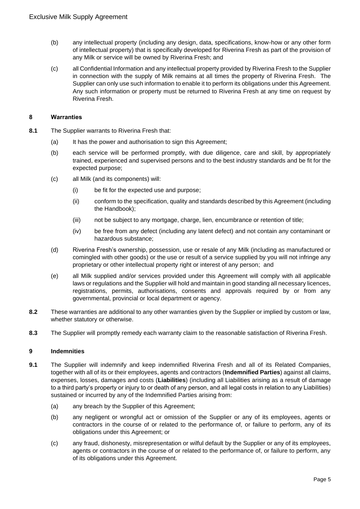- (b) any intellectual property (including any design, data, specifications, know-how or any other form of intellectual property) that is specifically developed for Riverina Fresh as part of the provision of any Milk or service will be owned by Riverina Fresh; and
- (c) all Confidential Information and any intellectual property provided by Riverina Fresh to the Supplier in connection with the supply of Milk remains at all times the property of Riverina Fresh. The Supplier can only use such information to enable it to perform its obligations under this Agreement. Any such information or property must be returned to Riverina Fresh at any time on request by Riverina Fresh.

### **8 Warranties**

- **8.1** The Supplier warrants to Riverina Fresh that:
	- (a) It has the power and authorisation to sign this Agreement;
	- (b) each service will be performed promptly, with due diligence, care and skill, by appropriately trained, experienced and supervised persons and to the best industry standards and be fit for the expected purpose;
	- (c) all Milk (and its components) will:
		- (i) be fit for the expected use and purpose;
		- (ii) conform to the specification, quality and standards described by this Agreement (including the Handbook);
		- (iii) not be subject to any mortgage, charge, lien, encumbrance or retention of title;
		- (iv) be free from any defect (including any latent defect) and not contain any contaminant or hazardous substance;
	- (d) Riverina Fresh's ownership, possession, use or resale of any Milk (including as manufactured or comingled with other goods) or the use or result of a service supplied by you will not infringe any proprietary or other intellectual property right or interest of any person; and
	- (e) all Milk supplied and/or services provided under this Agreement will comply with all applicable laws or regulations and the Supplier will hold and maintain in good standing all necessary licences, registrations, permits, authorisations, consents and approvals required by or from any governmental, provincial or local department or agency.
- **8.2** These warranties are additional to any other warranties given by the Supplier or implied by custom or law, whether statutory or otherwise.
- **8.3** The Supplier will promptly remedy each warranty claim to the reasonable satisfaction of Riverina Fresh.

# **9 Indemnities**

- **9.1** The Supplier will indemnify and keep indemnified Riverina Fresh and all of its Related Companies, together with all of its or their employees, agents and contractors (**Indemnified Parties**) against all claims, expenses, losses, damages and costs (**Liabilities**) (including all Liabilities arising as a result of damage to a third party's property or injury to or death of any person, and all legal costs in relation to any Liabilities) sustained or incurred by any of the Indemnified Parties arising from:
	- (a) any breach by the Supplier of this Agreement;
	- (b) any negligent or wrongful act or omission of the Supplier or any of its employees, agents or contractors in the course of or related to the performance of, or failure to perform, any of its obligations under this Agreement; or
	- (c) any fraud, dishonesty, misrepresentation or wilful default by the Supplier or any of its employees, agents or contractors in the course of or related to the performance of, or failure to perform, any of its obligations under this Agreement.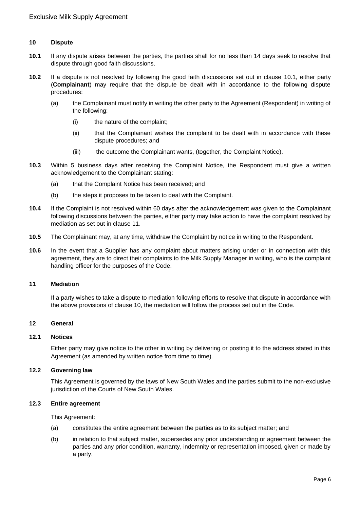### **10 Dispute**

- **10.1** If any dispute arises between the parties, the parties shall for no less than 14 days seek to resolve that dispute through good faith discussions.
- **10.2** If a dispute is not resolved by following the good faith discussions set out in clause 10.1, either party (**Complainant**) may require that the dispute be dealt with in accordance to the following dispute procedures:
	- (a) the Complainant must notify in writing the other party to the Agreement (Respondent) in writing of the following:
		- (i) the nature of the complaint;
		- (ii) that the Complainant wishes the complaint to be dealt with in accordance with these dispute procedures; and
		- (iii) the outcome the Complainant wants, (together, the Complaint Notice).
- **10.3** Within 5 business days after receiving the Complaint Notice, the Respondent must give a written acknowledgement to the Complainant stating:
	- (a) that the Complaint Notice has been received; and
	- (b) the steps it proposes to be taken to deal with the Complaint.
- **10.4** If the Complaint is not resolved within 60 days after the acknowledgement was given to the Complainant following discussions between the parties, either party may take action to have the complaint resolved by mediation as set out in clause 11.
- **10.5** The Complainant may, at any time, withdraw the Complaint by notice in writing to the Respondent.
- **10.6** In the event that a Supplier has any complaint about matters arising under or in connection with this agreement, they are to direct their complaints to the Milk Supply Manager in writing, who is the complaint handling officer for the purposes of the Code.

#### **11 Mediation**

If a party wishes to take a dispute to mediation following efforts to resolve that dispute in accordance with the above provisions of clause 10, the mediation will follow the process set out in the Code.

### **12 General**

### **12.1 Notices**

Either party may give notice to the other in writing by delivering or posting it to the address stated in this Agreement (as amended by written notice from time to time).

## **12.2 Governing law**

This Agreement is governed by the laws of New South Wales and the parties submit to the non-exclusive jurisdiction of the Courts of New South Wales.

#### **12.3 Entire agreement**

This Agreement:

- (a) constitutes the entire agreement between the parties as to its subject matter; and
- (b) in relation to that subject matter, supersedes any prior understanding or agreement between the parties and any prior condition, warranty, indemnity or representation imposed, given or made by a party.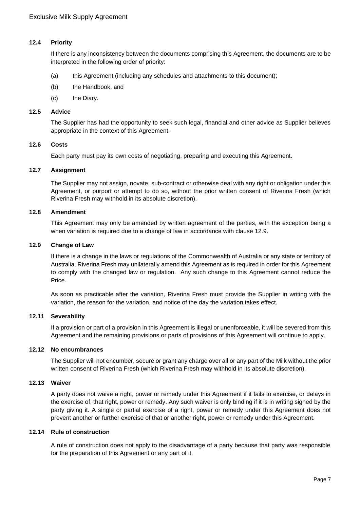# **12.4 Priority**

If there is any inconsistency between the documents comprising this Agreement, the documents are to be interpreted in the following order of priority:

- (a) this Agreement (including any schedules and attachments to this document);
- (b) the Handbook, and
- (c) the Diary.

### **12.5 Advice**

The Supplier has had the opportunity to seek such legal, financial and other advice as Supplier believes appropriate in the context of this Agreement.

### **12.6 Costs**

Each party must pay its own costs of negotiating, preparing and executing this Agreement.

## **12.7 Assignment**

The Supplier may not assign, novate, sub-contract or otherwise deal with any right or obligation under this Agreement, or purport or attempt to do so, without the prior written consent of Riverina Fresh (which Riverina Fresh may withhold in its absolute discretion).

### **12.8 Amendment**

This Agreement may only be amended by written agreement of the parties, with the exception being a when variation is required due to a change of law in accordance with clause 12.9.

### **12.9 Change of Law**

If there is a change in the laws or regulations of the Commonwealth of Australia or any state or territory of Australia, Riverina Fresh may unilaterally amend this Agreement as is required in order for this Agreement to comply with the changed law or regulation. Any such change to this Agreement cannot reduce the Price.

As soon as practicable after the variation, Riverina Fresh must provide the Supplier in writing with the variation, the reason for the variation, and notice of the day the variation takes effect.

# **12.11 Severability**

If a provision or part of a provision in this Agreement is illegal or unenforceable, it will be severed from this Agreement and the remaining provisions or parts of provisions of this Agreement will continue to apply.

#### **12.12 No encumbrances**

The Supplier will not encumber, secure or grant any charge over all or any part of the Milk without the prior written consent of Riverina Fresh (which Riverina Fresh may withhold in its absolute discretion).

# **12.13 Waiver**

A party does not waive a right, power or remedy under this Agreement if it fails to exercise, or delays in the exercise of, that right, power or remedy. Any such waiver is only binding if it is in writing signed by the party giving it. A single or partial exercise of a right, power or remedy under this Agreement does not prevent another or further exercise of that or another right, power or remedy under this Agreement.

#### **12.14 Rule of construction**

A rule of construction does not apply to the disadvantage of a party because that party was responsible for the preparation of this Agreement or any part of it.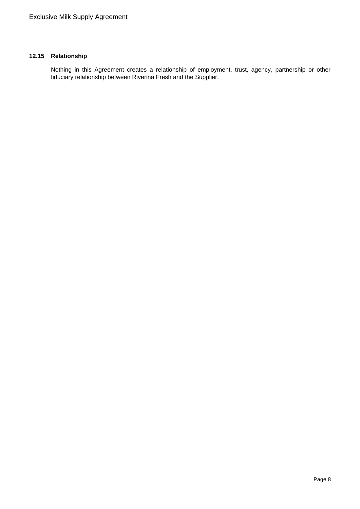# **12.15 Relationship**

Nothing in this Agreement creates a relationship of employment, trust, agency, partnership or other fiduciary relationship between Riverina Fresh and the Supplier.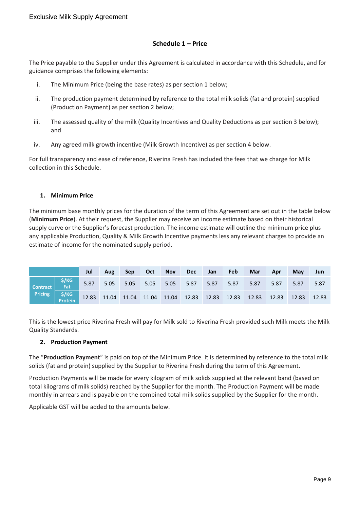# **Schedule 1 – Price**

The Price payable to the Supplier under this Agreement is calculated in accordance with this Schedule, and for guidance comprises the following elements:

- i. The Minimum Price (being the base rates) as per section 1 below;
- ii. The production payment determined by reference to the total milk solids (fat and protein) supplied (Production Payment) as per section 2 below;
- iii. The assessed quality of the milk (Quality Incentives and Quality Deductions as per section 3 below); and
- iv. Any agreed milk growth incentive (Milk Growth Incentive) as per section 4 below.

For full transparency and ease of reference, Riverina Fresh has included the fees that we charge for Milk collection in this Schedule.

# **1. Minimum Price**

The minimum base monthly prices for the duration of the term of this Agreement are set out in the table below (**Minimum Price**). At their request, the Supplier may receive an income estimate based on their historical supply curve or the Supplier's forecast production. The income estimate will outline the minimum price plus any applicable Production, Quality & Milk Growth Incentive payments less any relevant charges to provide an estimate of income for the nominated supply period.

|                                            |                                                                             | Jul  | Aug  | <b>Sep</b> | <b>Oct</b> | <b>Nov</b> | Dec  | Jan | <b>Feb</b> | <b>Mar</b> | Apr  | May  | Jun   |
|--------------------------------------------|-----------------------------------------------------------------------------|------|------|------------|------------|------------|------|-----|------------|------------|------|------|-------|
| $\vert$ Contract $\vert$<br><b>Pricing</b> | $$/KG$<br>Fat                                                               | 5.87 | 5.05 | 5.05       |            | 5.05 5.05  | 5.87 |     | 5.87 5.87  | 5.87       | 5.87 | 5.87 | 5.87  |
|                                            | 5/KG<br>Protein 12.83 11.04 11.04 11.04 12.83 12.83 12.83 12.83 12.83 12.83 |      |      |            |            |            |      |     |            |            |      |      | 12.83 |

This is the lowest price Riverina Fresh will pay for Milk sold to Riverina Fresh provided such Milk meets the Milk Quality Standards.

# **2. Production Payment**

The "**Production Payment**" is paid on top of the Minimum Price. It is determined by reference to the total milk solids (fat and protein) supplied by the Supplier to Riverina Fresh during the term of this Agreement.

Production Payments will be made for every kilogram of milk solids supplied at the relevant band (based on total kilograms of milk solids) reached by the Supplier for the month. The Production Payment will be made monthly in arrears and is payable on the combined total milk solids supplied by the Supplier for the month.

Applicable GST will be added to the amounts below.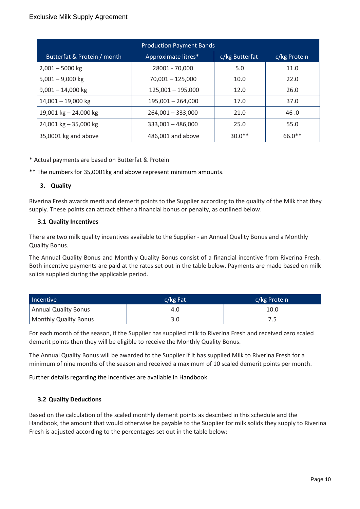| <b>Production Payment Bands</b> |                     |                |              |  |  |  |  |  |  |
|---------------------------------|---------------------|----------------|--------------|--|--|--|--|--|--|
| Butterfat & Protein / month     | Approximate litres* | c/kg Butterfat | c/kg Protein |  |  |  |  |  |  |
| $2,001 - 5000$ kg               | 28001 - 70,000      | 5.0            | 11.0         |  |  |  |  |  |  |
| $5,001 - 9,000$ kg              | $70,001 - 125,000$  | 10.0           | 22.0         |  |  |  |  |  |  |
| $9,001 - 14,000$ kg             | $125,001 - 195,000$ | 12.0           | 26.0         |  |  |  |  |  |  |
| $14,001 - 19,000$ kg            | $195,001 - 264,000$ | 17.0           | 37.0         |  |  |  |  |  |  |
| 19,001 kg $-$ 24,000 kg         | $264,001 - 333,000$ | 21.0           | 46.0         |  |  |  |  |  |  |
| 24,001 kg - 35,000 kg           | $333,001 - 486,000$ | 25.0           | 55.0         |  |  |  |  |  |  |
| 35,0001 kg and above            | 486,001 and above   | $30.0**$       | 66.0**       |  |  |  |  |  |  |

\* Actual payments are based on Butterfat & Protein

\*\* The numbers for 35,0001kg and above represent minimum amounts.

# **3. Quality**

Riverina Fresh awards merit and demerit points to the Supplier according to the quality of the Milk that they supply. These points can attract either a financial bonus or penalty, as outlined below.

# **3.1 Quality Incentives**

There are two milk quality incentives available to the Supplier - an Annual Quality Bonus and a Monthly Quality Bonus.

The Annual Quality Bonus and Monthly Quality Bonus consist of a financial incentive from Riverina Fresh. Both incentive payments are paid at the rates set out in the table below. Payments are made based on milk solids supplied during the applicable period.

| Incentive             | $c/kg$ Fat | c/kg Protein |
|-----------------------|------------|--------------|
| Annual Quality Bonus  | 4.O        | 10.0         |
| Monthly Quality Bonus |            | 7.5          |

For each month of the season, if the Supplier has supplied milk to Riverina Fresh and received zero scaled demerit points then they will be eligible to receive the Monthly Quality Bonus.

The Annual Quality Bonus will be awarded to the Supplier if it has supplied Milk to Riverina Fresh for a minimum of nine months of the season and received a maximum of 10 scaled demerit points per month.

Further details regarding the incentives are available in Handbook.

# **3.2 Quality Deductions**

Based on the calculation of the scaled monthly demerit points as described in this schedule and the Handbook, the amount that would otherwise be payable to the Supplier for milk solids they supply to Riverina Fresh is adjusted according to the percentages set out in the table below: